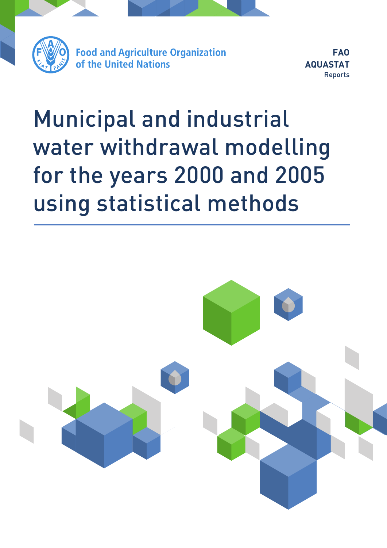

**FAO AQUASTAT** Reports

# Municipal and industrial water withdrawal modelling for the years 2000 and 2005 using statistical methods

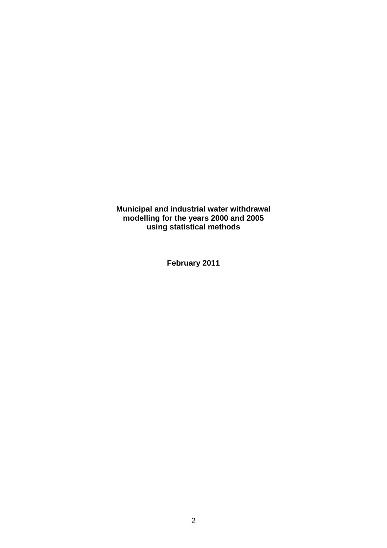**Municipal and industrial water withdrawal modelling for the years 2000 and 2005 using statistical methods**

**February 2011**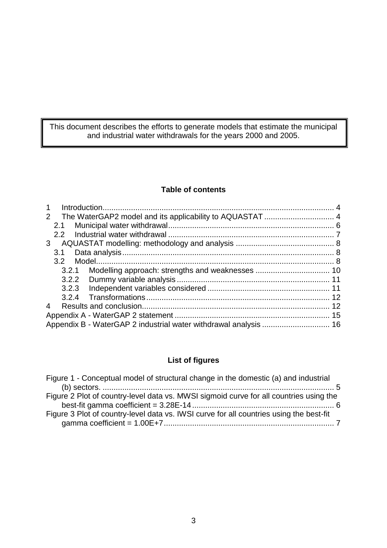This document describes the efforts to generate models that estimate the municipal and industrial water withdrawals for the years 2000 and 2005.

#### **Table of contents**

| $\mathbf{1}$ |                  |  |  |
|--------------|------------------|--|--|
| $2^{\circ}$  |                  |  |  |
|              | 2.1              |  |  |
|              | $2.2^{\circ}$    |  |  |
| 3            |                  |  |  |
|              | 3.1              |  |  |
|              | 3.2 <sup>°</sup> |  |  |
|              | 3.2.1            |  |  |
|              |                  |  |  |
|              |                  |  |  |
|              |                  |  |  |
| 4            |                  |  |  |
|              |                  |  |  |
|              |                  |  |  |

## **List of figures**

| Figure 1 - Conceptual model of structural change in the domestic (a) and industrial     |  |
|-----------------------------------------------------------------------------------------|--|
|                                                                                         |  |
| Figure 2 Plot of country-level data vs. MWSI sigmoid curve for all countries using the  |  |
|                                                                                         |  |
| Figure 3 Plot of country-level data vs. IWSI curve for all countries using the best-fit |  |
|                                                                                         |  |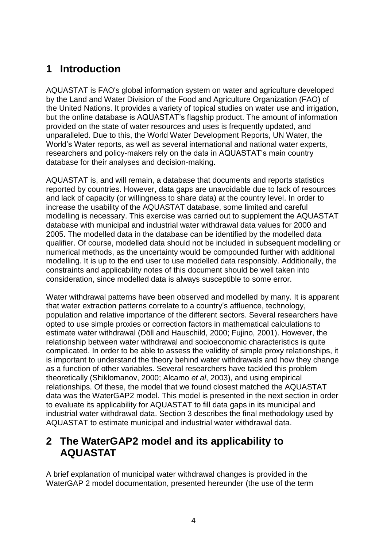# <span id="page-3-0"></span>**1 Introduction**

AQUASTAT is FAO's global information system on water and agriculture developed by the Land and Water Division of the Food and Agriculture Organization (FAO) of the United Nations. It provides a variety of topical studies on water use and irrigation, but the online database is AQUASTAT's flagship product. The amount of information provided on the state of water resources and uses is frequently updated, and unparalleled. Due to this, the World Water Development Reports, UN Water, the World's Water reports, as well as several international and national water experts, researchers and policy-makers rely on the data in AQUASTAT's main country database for their analyses and decision-making.

AQUASTAT is, and will remain, a database that documents and reports statistics reported by countries. However, data gaps are unavoidable due to lack of resources and lack of capacity (or willingness to share data) at the country level. In order to increase the usability of the AQUASTAT database, some limited and careful modelling is necessary. This exercise was carried out to supplement the AQUASTAT database with municipal and industrial water withdrawal data values for 2000 and 2005. The modelled data in the database can be identified by the modelled data qualifier. Of course, modelled data should not be included in subsequent modelling or numerical methods, as the uncertainty would be compounded further with additional modelling. It is up to the end user to use modelled data responsibly. Additionally, the constraints and applicability notes of this document should be well taken into consideration, since modelled data is always susceptible to some error.

Water withdrawal patterns have been observed and modelled by many. It is apparent that water extraction patterns correlate to a country's affluence, technology, population and relative importance of the different sectors. Several researchers have opted to use simple proxies or correction factors in mathematical calculations to estimate water withdrawal (Döll and Hauschild, 2000; Fujino, 2001). However, the relationship between water withdrawal and socioeconomic characteristics is quite complicated. In order to be able to assess the validity of simple proxy relationships, it is important to understand the theory behind water withdrawals and how they change as a function of other variables. Several researchers have tackled this problem theoretically (Shiklomanov, 2000; Alcamo *et al*, 2003), and using empirical relationships. Of these, the model that we found closest matched the AQUASTAT data was the WaterGAP2 model. This model is presented in the next section in order to evaluate its applicability for AQUASTAT to fill data gaps in its municipal and industrial water withdrawal data. Section 3 describes the final methodology used by AQUASTAT to estimate municipal and industrial water withdrawal data.

# <span id="page-3-1"></span>**2 The WaterGAP2 model and its applicability to AQUASTAT**

A brief explanation of municipal water withdrawal changes is provided in the WaterGAP 2 model documentation, presented hereunder (the use of the term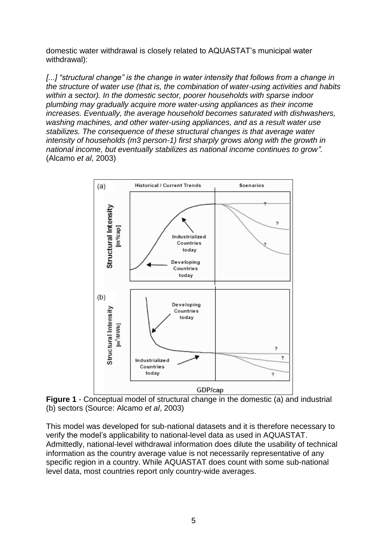domestic water withdrawal is closely related to AQUASTAT's municipal water withdrawal):

*[...] "structural change" is the change in water intensity that follows from a change in the structure of water use (that is, the combination of water-using activities and habits within a sector). In the domestic sector, poorer households with sparse indoor plumbing may gradually acquire more water-using appliances as their income increases. Eventually, the average household becomes saturated with dishwashers, washing machines, and other water-using appliances, and as a result water use stabilizes. The consequence of these structural changes is that average water intensity of households (m3 person-1) first sharply grows along with the growth in national income, but eventually stabilizes as national income continues to grow".*  (Alcamo *et al*, 2003)



<span id="page-4-0"></span>**Figure 1** - Conceptual model of structural change in the domestic (a) and industrial (b) sectors (Source: Alcamo *et al*, 2003)

This model was developed for sub-national datasets and it is therefore necessary to verify the model's applicability to national-level data as used in AQUASTAT. Admittedly, national-level withdrawal information does dilute the usability of technical information as the country average value is not necessarily representative of any specific region in a country. While AQUASTAT does count with some sub-national level data, most countries report only country-wide averages.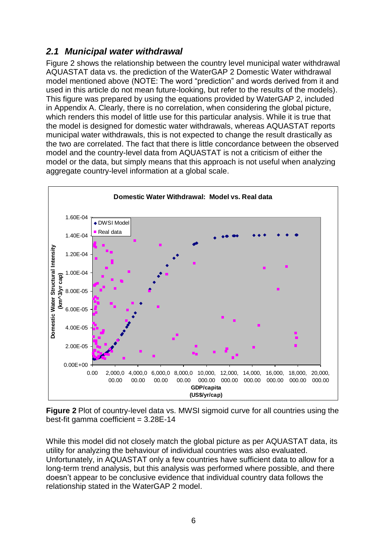# <span id="page-5-0"></span>*2.1 Municipal water withdrawal*

[Figure 2](#page-5-1) shows the relationship between the country level municipal water withdrawal AQUASTAT data vs. the prediction of the WaterGAP 2 Domestic Water withdrawal model mentioned above (NOTE: The word "prediction" and words derived from it and used in this article do not mean future-looking, but refer to the results of the models). This figure was prepared by using the equations provided by WaterGAP 2, included in Appendix A. Clearly, there is no correlation, when considering the global picture, which renders this model of little use for this particular analysis. While it is true that the model is designed for domestic water withdrawals, whereas AQUASTAT reports municipal water withdrawals, this is not expected to change the result drastically as the two are correlated. The fact that there is little concordance between the observed model and the country-level data from AQUASTAT is not a criticism of either the model or the data, but simply means that this approach is not useful when analyzing aggregate country-level information at a global scale.



<span id="page-5-1"></span>**Figure 2** Plot of country-level data vs. MWSI sigmoid curve for all countries using the best-fit gamma coefficient  $= 3.28E-14$ 

While this model did not closely match the global picture as per AQUASTAT data, its utility for analyzing the behaviour of individual countries was also evaluated. Unfortunately, in AQUASTAT only a few countries have sufficient data to allow for a long-term trend analysis, but this analysis was performed where possible, and there doesn't appear to be conclusive evidence that individual country data follows the relationship stated in the WaterGAP 2 model.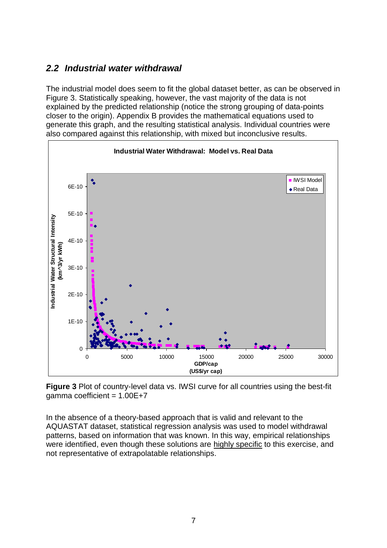## <span id="page-6-0"></span>*2.2 Industrial water withdrawal*

The industrial model does seem to fit the global dataset better, as can be observed in [Figure 3.](#page-6-1) Statistically speaking, however, the vast majority of the data is not explained by the predicted relationship (notice the strong grouping of data-points closer to the origin). Appendix B provides the mathematical equations used to generate this graph, and the resulting statistical analysis. Individual countries were also compared against this relationship, with mixed but inconclusive results.



<span id="page-6-1"></span>**Figure 3** Plot of country-level data vs. IWSI curve for all countries using the best-fit gamma coefficient =  $1.00E+7$ 

In the absence of a theory-based approach that is valid and relevant to the AQUASTAT dataset, statistical regression analysis was used to model withdrawal patterns, based on information that was known. In this way, empirical relationships were identified, even though these solutions are highly specific to this exercise, and not representative of extrapolatable relationships.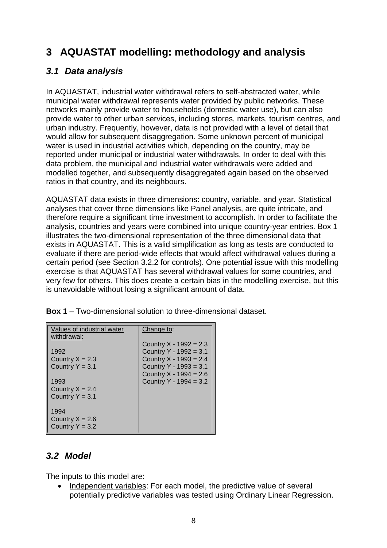# <span id="page-7-0"></span>**3 AQUASTAT modelling: methodology and analysis**

# <span id="page-7-1"></span>*3.1 Data analysis*

In AQUASTAT, industrial water withdrawal refers to self-abstracted water, while municipal water withdrawal represents water provided by public networks. These networks mainly provide water to households (domestic water use), but can also provide water to other urban services, including stores, markets, tourism centres, and urban industry. Frequently, however, data is not provided with a level of detail that would allow for subsequent disaggregation. Some unknown percent of municipal water is used in industrial activities which, depending on the country, may be reported under municipal or industrial water withdrawals. In order to deal with this data problem, the municipal and industrial water withdrawals were added and modelled together, and subsequently disaggregated again based on the observed ratios in that country, and its neighbours.

AQUASTAT data exists in three dimensions: country, variable, and year. Statistical analyses that cover three dimensions like Panel analysis, are quite intricate, and therefore require a significant time investment to accomplish. In order to facilitate the analysis, countries and years were combined into unique country-year entries. Box 1 illustrates the two-dimensional representation of the three dimensional data that exists in AQUASTAT. This is a valid simplification as long as tests are conducted to evaluate if there are period-wide effects that would affect withdrawal values during a certain period (see Section 3.2.2 for controls). One potential issue with this modelling exercise is that AQUASTAT has several withdrawal values for some countries, and very few for others. This does create a certain bias in the modelling exercise, but this is unavoidable without losing a significant amount of data.

| Values of industrial water<br>withdrawal:      | Change to:                                         |
|------------------------------------------------|----------------------------------------------------|
| 1992                                           | Country $X - 1992 = 2.3$<br>Country Y - 1992 = 3.1 |
| Country $X = 2.3$                              | Country $X - 1993 = 2.4$                           |
| Country $Y = 3.1$                              | Country Y - 1993 = 3.1                             |
|                                                | Country $X - 1994 = 2.6$                           |
| 1993                                           | Country Y - 1994 = 3.2                             |
| Country $X = 2.4$                              |                                                    |
| Country $Y = 3.1$                              |                                                    |
| 1994<br>Country $X = 2.6$<br>Country $Y = 3.2$ |                                                    |

**Box 1** – Two-dimensional solution to three-dimensional dataset.

## <span id="page-7-2"></span>*3.2 Model*

The inputs to this model are:

• Independent variables: For each model, the predictive value of several potentially predictive variables was tested using Ordinary Linear Regression.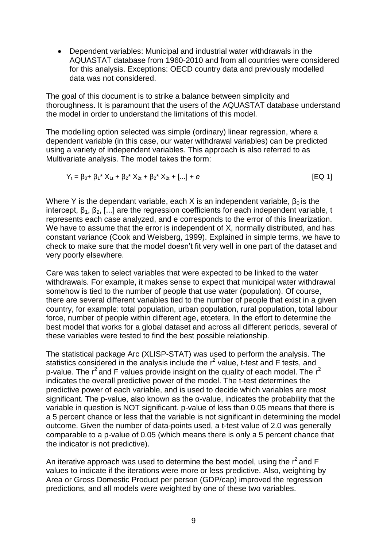Dependent variables: Municipal and industrial water withdrawals in the AQUASTAT database from 1960-2010 and from all countries were considered for this analysis. Exceptions: OECD country data and previously modelled data was not considered.

The goal of this document is to strike a balance between simplicity and thoroughness. It is paramount that the users of the AQUASTAT database understand the model in order to understand the limitations of this model.

The modelling option selected was simple (ordinary) linear regression, where a dependent variable (in this case, our water withdrawal variables) can be predicted using a variety of independent variables. This approach is also referred to as Multivariate analysis. The model takes the form:

$$
Y_t = \beta_0 + \beta_1^* X_{1t} + \beta_2^* X_{2t} + \beta_2^* X_{2t} + [...] + e
$$
 [EQ1]

Where Y is the dependant variable, each X is an independent variable,  $\beta_0$  is the intercept,  $\beta_1$ ,  $\beta_2$ , [...] are the regression coefficients for each independent variable, t represents each case analyzed, and e corresponds to the error of this linearization. We have to assume that the error is independent of X, normally distributed, and has constant variance (Cook and Weisberg, 1999). Explained in simple terms, we have to check to make sure that the model doesn't fit very well in one part of the dataset and very poorly elsewhere.

Care was taken to select variables that were expected to be linked to the water withdrawals. For example, it makes sense to expect that municipal water withdrawal somehow is tied to the number of people that use water (population). Of course, there are several different variables tied to the number of people that exist in a given country, for example: total population, urban population, rural population, total labour force, number of people within different age, etcetera. In the effort to determine the best model that works for a global dataset and across all different periods, several of these variables were tested to find the best possible relationship.

The statistical package Arc (XLISP-STAT) was used to perform the analysis. The statistics considered in the analysis include the r<sup>2</sup> value, t-test and F tests, and p-value. The  $r^2$  and F values provide insight on the quality of each model. The  $r^2$ indicates the overall predictive power of the model. The t-test determines the predictive power of each variable, and is used to decide which variables are most significant. The p-value, also known as the α-value, indicates the probability that the variable in question is NOT significant. p-value of less than 0.05 means that there is a 5 percent chance or less that the variable is not significant in determining the model outcome. Given the number of data-points used, a t-test value of 2.0 was generally comparable to a p-value of 0.05 (which means there is only a 5 percent chance that the indicator is not predictive).

An iterative approach was used to determine the best model, using the  $r^2$  and F values to indicate if the iterations were more or less predictive. Also, weighting by Area or Gross Domestic Product per person (GDP/cap) improved the regression predictions, and all models were weighted by one of these two variables.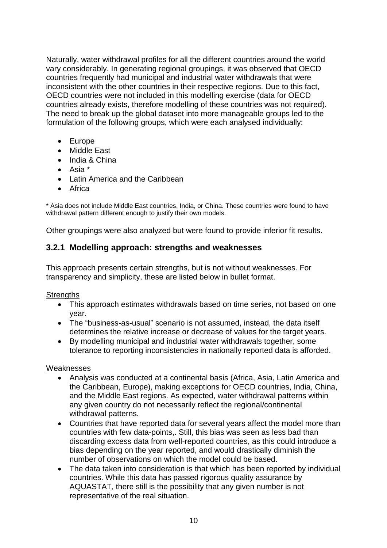Naturally, water withdrawal profiles for all the different countries around the world vary considerably. In generating regional groupings, it was observed that OECD countries frequently had municipal and industrial water withdrawals that were inconsistent with the other countries in their respective regions. Due to this fact, OECD countries were not included in this modelling exercise (data for OECD countries already exists, therefore modelling of these countries was not required). The need to break up the global dataset into more manageable groups led to the formulation of the following groups, which were each analysed individually:

- Europe
- Middle East
- India & China
- $\bullet$  Asia  $*$
- Latin America and the Caribbean
- Africa

\* Asia does not include Middle East countries, India, or China. These countries were found to have withdrawal pattern different enough to justify their own models.

Other groupings were also analyzed but were found to provide inferior fit results.

#### <span id="page-9-0"></span>**3.2.1 Modelling approach: strengths and weaknesses**

This approach presents certain strengths, but is not without weaknesses. For transparency and simplicity, these are listed below in bullet format.

**Strengths** 

- This approach estimates withdrawals based on time series, not based on one year.
- The "business-as-usual" scenario is not assumed, instead, the data itself determines the relative increase or decrease of values for the target years.
- By modelling municipal and industrial water withdrawals together, some tolerance to reporting inconsistencies in nationally reported data is afforded.

#### **Weaknesses**

- Analysis was conducted at a continental basis (Africa, Asia, Latin America and the Caribbean, Europe), making exceptions for OECD countries, India, China, and the Middle East regions. As expected, water withdrawal patterns within any given country do not necessarily reflect the regional/continental withdrawal patterns.
- Countries that have reported data for several years affect the model more than countries with few data-points,. Still, this bias was seen as less bad than discarding excess data from well-reported countries, as this could introduce a bias depending on the year reported, and would drastically diminish the number of observations on which the model could be based.
- The data taken into consideration is that which has been reported by individual countries. While this data has passed rigorous quality assurance by AQUASTAT, there still is the possibility that any given number is not representative of the real situation.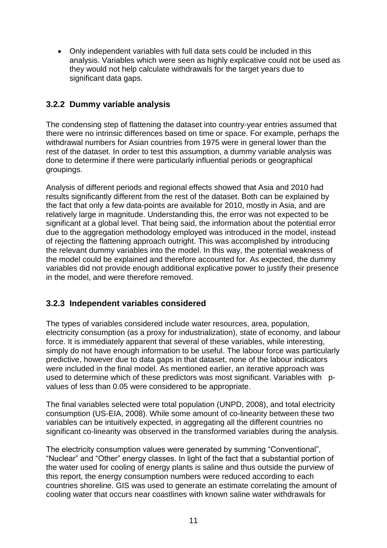Only independent variables with full data sets could be included in this analysis. Variables which were seen as highly explicative could not be used as they would not help calculate withdrawals for the target years due to significant data gaps.

## <span id="page-10-0"></span>**3.2.2 Dummy variable analysis**

The condensing step of flattening the dataset into country-year entries assumed that there were no intrinsic differences based on time or space. For example, perhaps the withdrawal numbers for Asian countries from 1975 were in general lower than the rest of the dataset. In order to test this assumption, a dummy variable analysis was done to determine if there were particularly influential periods or geographical groupings.

Analysis of different periods and regional effects showed that Asia and 2010 had results significantly different from the rest of the dataset. Both can be explained by the fact that only a few data-points are available for 2010, mostly in Asia, and are relatively large in magnitude. Understanding this, the error was not expected to be significant at a global level. That being said, the information about the potential error due to the aggregation methodology employed was introduced in the model, instead of rejecting the flattening approach outright. This was accomplished by introducing the relevant dummy variables into the model. In this way, the potential weakness of the model could be explained and therefore accounted for. As expected, the dummy variables did not provide enough additional explicative power to justify their presence in the model, and were therefore removed.

### <span id="page-10-1"></span>**3.2.3 Independent variables considered**

The types of variables considered include water resources, area, population, electricity consumption (as a proxy for industrialization), state of economy, and labour force. It is immediately apparent that several of these variables, while interesting, simply do not have enough information to be useful. The labour force was particularly predictive, however due to data gaps in that dataset, none of the labour indicators were included in the final model. As mentioned earlier, an iterative approach was used to determine which of these predictors was most significant. Variables with pvalues of less than 0.05 were considered to be appropriate.

The final variables selected were total population (UNPD, 2008), and total electricity consumption (US-EIA, 2008). While some amount of co-linearity between these two variables can be intuitively expected, in aggregating all the different countries no significant co-linearity was observed in the transformed variables during the analysis.

The electricity consumption values were generated by summing "Conventional", "Nuclear" and "Other" energy classes. In light of the fact that a substantial portion of the water used for cooling of energy plants is saline and thus outside the purview of this report, the energy consumption numbers were reduced according to each countries shoreline. GIS was used to generate an estimate correlating the amount of cooling water that occurs near coastlines with known saline water withdrawals for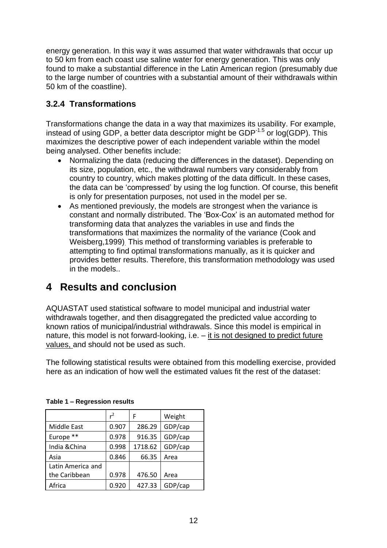energy generation. In this way it was assumed that water withdrawals that occur up to 50 km from each coast use saline water for energy generation. This was only found to make a substantial difference in the Latin American region (presumably due to the large number of countries with a substantial amount of their withdrawals within 50 km of the coastline).

## <span id="page-11-0"></span>**3.2.4 Transformations**

Transformations change the data in a way that maximizes its usability. For example, instead of using GDP, a better data descriptor might be  $GDP^{-1.5}$  or log(GDP). This maximizes the descriptive power of each independent variable within the model being analysed. Other benefits include:

- Normalizing the data (reducing the differences in the dataset). Depending on its size, population, etc., the withdrawal numbers vary considerably from country to country, which makes plotting of the data difficult. In these cases, the data can be 'compressed' by using the log function. Of course, this benefit is only for presentation purposes, not used in the model per se.
- As mentioned previously, the models are strongest when the variance is constant and normally distributed. The 'Box-Cox' is an automated method for transforming data that analyzes the variables in use and finds the transformations that maximizes the normality of the variance (Cook and Weisberg,1999). This method of transforming variables is preferable to attempting to find optimal transformations manually, as it is quicker and provides better results. Therefore, this transformation methodology was used in the models..

# <span id="page-11-1"></span>**4 Results and conclusion**

AQUASTAT used statistical software to model municipal and industrial water withdrawals together, and then disaggregated the predicted value according to known ratios of municipal/industrial withdrawals. Since this model is empirical in nature, this model is not forward-looking, i.e. – it is not designed to predict future values, and should not be used as such.

The following statistical results were obtained from this modelling exercise, provided here as an indication of how well the estimated values fit the rest of the dataset:

|                   | $^2$  | F       | Weight  |
|-------------------|-------|---------|---------|
| Middle East       | 0.907 | 286.29  | GDP/cap |
| Europe **         | 0.978 | 916.35  | GDP/cap |
| India & China     | 0.998 | 1718.62 | GDP/cap |
| Asia              | 0.846 | 66.35   | Area    |
| Latin America and |       |         |         |
| the Caribbean     | 0.978 | 476.50  | Area    |
| Africa            | 0.920 | 427.33  | GDP/cap |

**Table 1 – Regression results**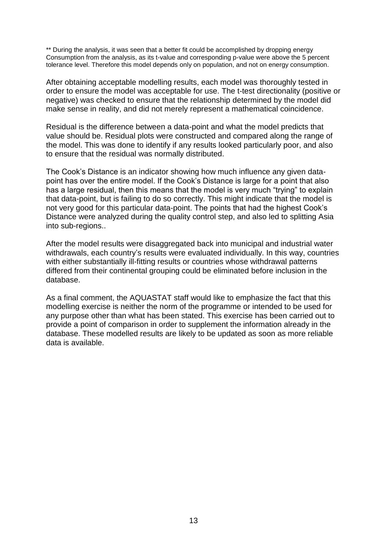\*\* During the analysis, it was seen that a better fit could be accomplished by dropping energy Consumption from the analysis, as its t-value and corresponding p-value were above the 5 percent tolerance level. Therefore this model depends only on population, and not on energy consumption.

After obtaining acceptable modelling results, each model was thoroughly tested in order to ensure the model was acceptable for use. The t-test directionality (positive or negative) was checked to ensure that the relationship determined by the model did make sense in reality, and did not merely represent a mathematical coincidence.

Residual is the difference between a data-point and what the model predicts that value should be. Residual plots were constructed and compared along the range of the model. This was done to identify if any results looked particularly poor, and also to ensure that the residual was normally distributed.

The Cook's Distance is an indicator showing how much influence any given datapoint has over the entire model. If the Cook's Distance is large for a point that also has a large residual, then this means that the model is very much "trying" to explain that data-point, but is failing to do so correctly. This might indicate that the model is not very good for this particular data-point. The points that had the highest Cook's Distance were analyzed during the quality control step, and also led to splitting Asia into sub-regions..

After the model results were disaggregated back into municipal and industrial water withdrawals, each country's results were evaluated individually. In this way, countries with either substantially ill-fitting results or countries whose withdrawal patterns differed from their continental grouping could be eliminated before inclusion in the database.

As a final comment, the AQUASTAT staff would like to emphasize the fact that this modelling exercise is neither the norm of the programme or intended to be used for any purpose other than what has been stated. This exercise has been carried out to provide a point of comparison in order to supplement the information already in the database. These modelled results are likely to be updated as soon as more reliable data is available.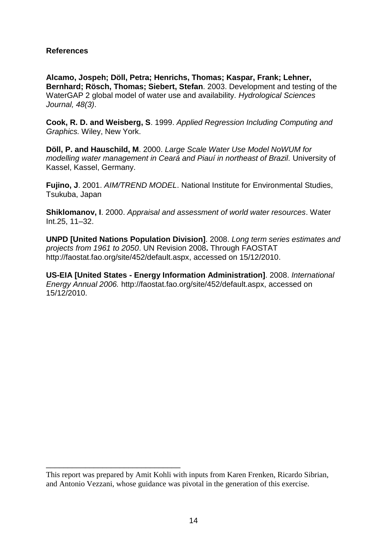#### **References**

**Alcamo, Jospeh; Döll, Petra; Henrichs, Thomas; Kaspar, Frank; Lehner, Bernhard; Rösch, Thomas; Siebert, Stefan**. 2003. Development and testing of the WaterGAP 2 global model of water use and availability. *Hydrological Sciences Journal, 48(3)*.

**Cook, R. D. and Weisberg, S**. 1999. *Applied Regression Including Computing and Graphics.* Wiley, New York.

**Döll, P. and Hauschild, M**. 2000. *Large Scale Water Use Model NoWUM for modelling water management in Ceará and Piauí in northeast of Brazil.* University of Kassel, Kassel, Germany.

**Fujino, J**. 2001. *AIM/TREND MODEL*. National Institute for Environmental Studies, Tsukuba, Japan

**Shiklomanov, I**. 2000. *Appraisal and assessment of world water resources*. Water Int.25, 11–32.

**UNPD [United Nations Population Division]**. 2008. *Long term series estimates and projects from 1961 to 2050*. UN Revision 2008**.** Through FAOSTAT http://faostat.fao.org/site/452/default.aspx, accessed on 15/12/2010.

**US-EIA [United States - Energy Information Administration]**. 2008. *International Energy Annual 2006.* http://faostat.fao.org/site/452/default.aspx, accessed on 15/12/2010.

\_\_\_\_\_\_\_\_\_\_\_\_\_\_\_\_\_\_\_\_\_\_\_\_\_\_\_\_\_\_\_

This report was prepared by Amit Kohli with inputs from Karen Frenken, Ricardo Sibrian, and Antonio Vezzani, whose guidance was pivotal in the generation of this exercise.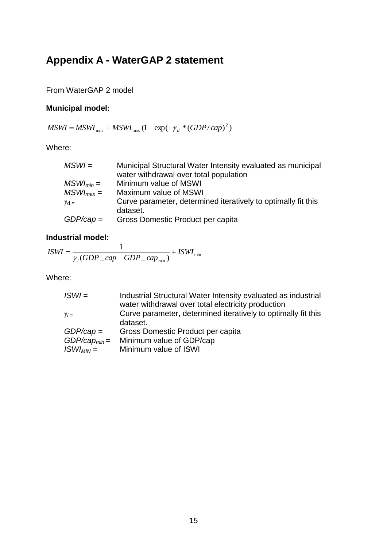# <span id="page-14-0"></span>**Appendix A - WaterGAP 2 statement**

From WaterGAP 2 model

#### **Municipal model:**

 $MSWI = MSWI_{min} + MSWI_{max} (1 - \exp(-\gamma_d * (GDP / cap)^2))$ 

Where:

| $MSWI =$       | Municipal Structural Water Intensity evaluated as municipal   |
|----------------|---------------------------------------------------------------|
|                | water withdrawal over total population                        |
| $MSWI_{min} =$ | Minimum value of MSWI                                         |
| $MSWI_{max} =$ | Maximum value of MSWI                                         |
| $\gamma$ d =   | Curve parameter, determined iteratively to optimally fit this |
|                | dataset.                                                      |
| $GDP/cap =$    | Gross Domestic Product per capita                             |

#### **Industrial model:**

$$
ISWI = \frac{1}{\gamma_i (GDP\_cap - GDP\_cap_{\min})} + ISWI_{\min}
$$

Where:

| $ISWI =$          | Industrial Structural Water Intensity evaluated as industrial |
|-------------------|---------------------------------------------------------------|
|                   | water withdrawal over total electricity production            |
| $\gamma_i =$      | Curve parameter, determined iteratively to optimally fit this |
|                   | dataset.                                                      |
| $GDP/cap =$       | Gross Domestic Product per capita                             |
| $GDP/cap_{min} =$ | Minimum value of GDP/cap                                      |
| $ISWI_{MIN} =$    | Minimum value of ISWI                                         |